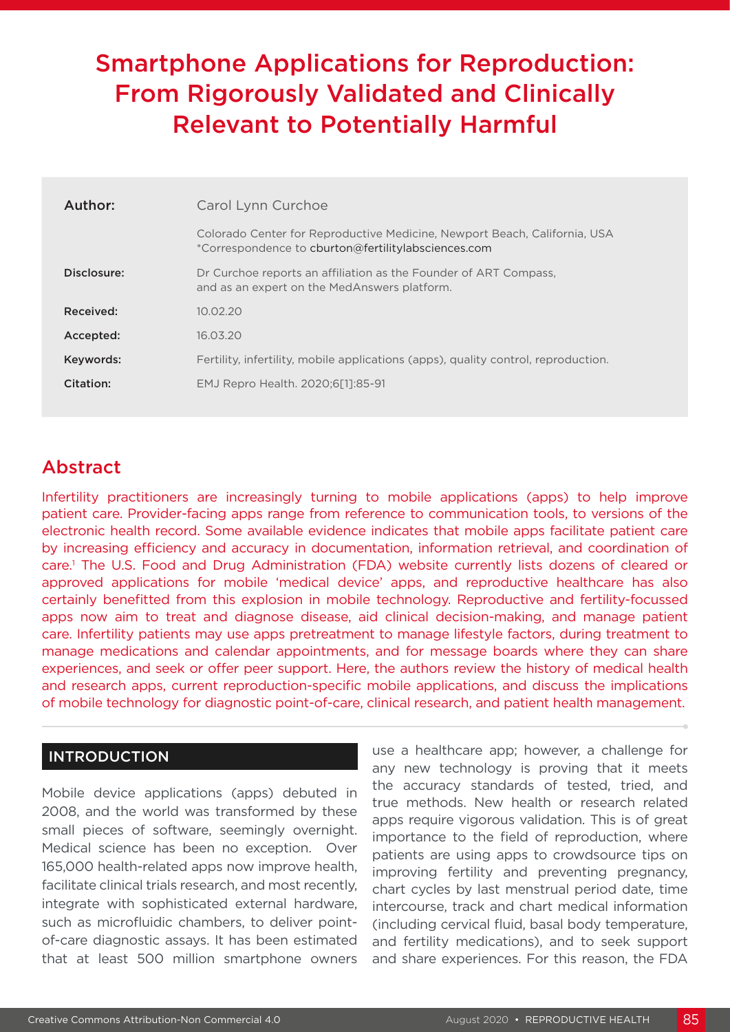# Smartphone Applications for Reproduction: From Rigorously Validated and Clinically Relevant to Potentially Harmful

| Author:     | Carol Lynn Curchoe                                                                                                               |  |  |  |  |
|-------------|----------------------------------------------------------------------------------------------------------------------------------|--|--|--|--|
|             | Colorado Center for Reproductive Medicine, Newport Beach, California, USA<br>*Correspondence to cburton@fertilitylabsciences.com |  |  |  |  |
| Disclosure: | Dr Curchoe reports an affiliation as the Founder of ART Compass,<br>and as an expert on the MedAnswers platform.                 |  |  |  |  |
| Received:   | 10.02.20                                                                                                                         |  |  |  |  |
| Accepted:   | 16.03.20                                                                                                                         |  |  |  |  |
| Keywords:   | Fertility, infertility, mobile applications (apps), quality control, reproduction.                                               |  |  |  |  |
| Citation:   | EMJ Repro Health. 2020:6[1]:85-91                                                                                                |  |  |  |  |
|             |                                                                                                                                  |  |  |  |  |

# Abstract

Infertility practitioners are increasingly turning to mobile applications (apps) to help improve patient care. Provider-facing apps range from reference to communication tools, to versions of the electronic health record. Some available evidence indicates that mobile apps facilitate patient care by increasing efficiency and accuracy in documentation, information retrieval, and coordination of care.1 The U.S. Food and Drug Administration (FDA) website currently lists dozens of cleared or approved applications for mobile 'medical device' apps, and reproductive healthcare has also certainly benefitted from this explosion in mobile technology. Reproductive and fertility-focussed apps now aim to treat and diagnose disease, aid clinical decision-making, and manage patient care. Infertility patients may use apps pretreatment to manage lifestyle factors, during treatment to manage medications and calendar appointments, and for message boards where they can share experiences, and seek or offer peer support. Here, the authors review the history of medical health and research apps, current reproduction-specific mobile applications, and discuss the implications of mobile technology for diagnostic point-of-care, clinical research, and patient health management.

#### INTRODUCTION

Mobile device applications (apps) debuted in 2008, and the world was transformed by these small pieces of software, seemingly overnight. Medical science has been no exception. Over 165,000 health-related apps now improve health, facilitate clinical trials research, and most recently, integrate with sophisticated external hardware, such as microfluidic chambers, to deliver pointof-care diagnostic assays. It has been estimated that at least 500 million smartphone owners

use a healthcare app; however, a challenge for any new technology is proving that it meets the accuracy standards of tested, tried, and true methods. New health or research related apps require vigorous validation. This is of great importance to the field of reproduction, where patients are using apps to crowdsource tips on improving fertility and preventing pregnancy, chart cycles by last menstrual period date, time intercourse, track and chart medical information (including cervical fluid, basal body temperature, and fertility medications), and to seek support and share experiences. For this reason, the FDA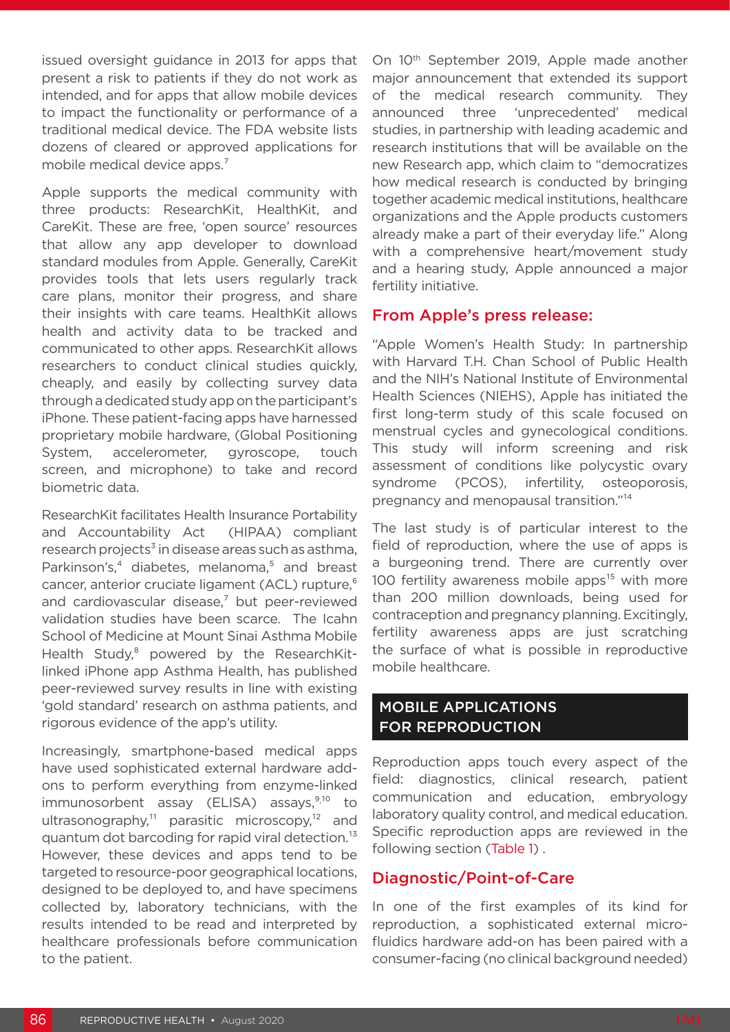issued oversight guidance in 2013 for apps that present a risk to patients if they do not work as intended, and for apps that allow mobile devices to impact the functionality or performance of a traditional medical device. The FDA website lists dozens of cleared or approved applications for mobile medical device apps.<sup>7</sup>

Apple supports the medical community with three products: ResearchKit, HealthKit, and CareKit. These are free, 'open source' resources that allow any app developer to download standard modules from Apple. Generally, CareKit provides tools that lets users regularly track care plans, monitor their progress, and share their insights with care teams. HealthKit allows health and activity data to be tracked and communicated to other apps. ResearchKit allows researchers to conduct clinical studies quickly, cheaply, and easily by collecting survey data through a dedicated study app on the participant's iPhone. These patient-facing apps have harnessed proprietary mobile hardware, (Global Positioning System, accelerometer, gyroscope, touch screen, and microphone) to take and record biometric data.

ResearchKit facilitates Health Insurance Portability and Accountability Act (HIPAA) compliant research projects<sup>3</sup> in disease areas such as asthma. Parkinson's,<sup>4</sup> diabetes, melanoma,<sup>5</sup> and breast cancer, anterior cruciate ligament (ACL) rupture,<sup>6</sup> and cardiovascular disease, $<sup>7</sup>$  but peer-reviewed</sup> validation studies have been scarce. The Icahn School of Medicine at Mount Sinai Asthma Mobile Health Study,<sup>8</sup> powered by the ResearchKitlinked iPhone app Asthma Health, has published peer-reviewed survey results in line with existing 'gold standard' research on asthma patients, and rigorous evidence of the app's utility.

Increasingly, smartphone-based medical apps have used sophisticated external hardware addons to perform everything from enzyme-linked immunosorbent assay (ELISA) assays,<sup>9,10</sup> to ultrasonography,<sup>11</sup> parasitic microscopy,<sup>12</sup> and quantum dot barcoding for rapid viral detection.13 However, these devices and apps tend to be targeted to resource-poor geographical locations, designed to be deployed to, and have specimens collected by, laboratory technicians, with the results intended to be read and interpreted by healthcare professionals before communication to the patient.

On 10<sup>th</sup> September 2019, Apple made another major announcement that extended its support of the medical research community. They announced three 'unprecedented' medical studies, in partnership with leading academic and research institutions that will be available on the new Research app, which claim to "democratizes how medical research is conducted by bringing together academic medical institutions, healthcare organizations and the Apple products customers already make a part of their everyday life." Along with a comprehensive heart/movement study and a hearing study, Apple announced a major fertility initiative.

#### From Apple's press release:

"Apple Women's Health Study: In partnership with Harvard T.H. Chan School of Public Health and the NIH's National Institute of Environmental Health Sciences (NIEHS), Apple has initiated the first long-term study of this scale focused on menstrual cycles and gynecological conditions. This study will inform screening and risk assessment of conditions like polycystic ovary syndrome (PCOS), infertility, osteoporosis, pregnancy and menopausal transition."<sup>14</sup>

The last study is of particular interest to the field of reproduction, where the use of apps is a burgeoning trend. There are currently over 100 fertility awareness mobile apps $15$  with more than 200 million downloads, being used for contraception and pregnancy planning. Excitingly, fertility awareness apps are just scratching the surface of what is possible in reproductive mobile healthcare.

### MOBILE APPLICATIONS FOR REPRODUCTION

Reproduction apps touch every aspect of the field: diagnostics, clinical research, patient communication and education, embryology laboratory quality control, and medical education. Specific reproduction apps are reviewed in the following section (Table 1) .

### Diagnostic/Point-of-Care

In one of the first examples of its kind for reproduction, a sophisticated external microfluidics hardware add-on has been paired with a consumer-facing (no clinical background needed)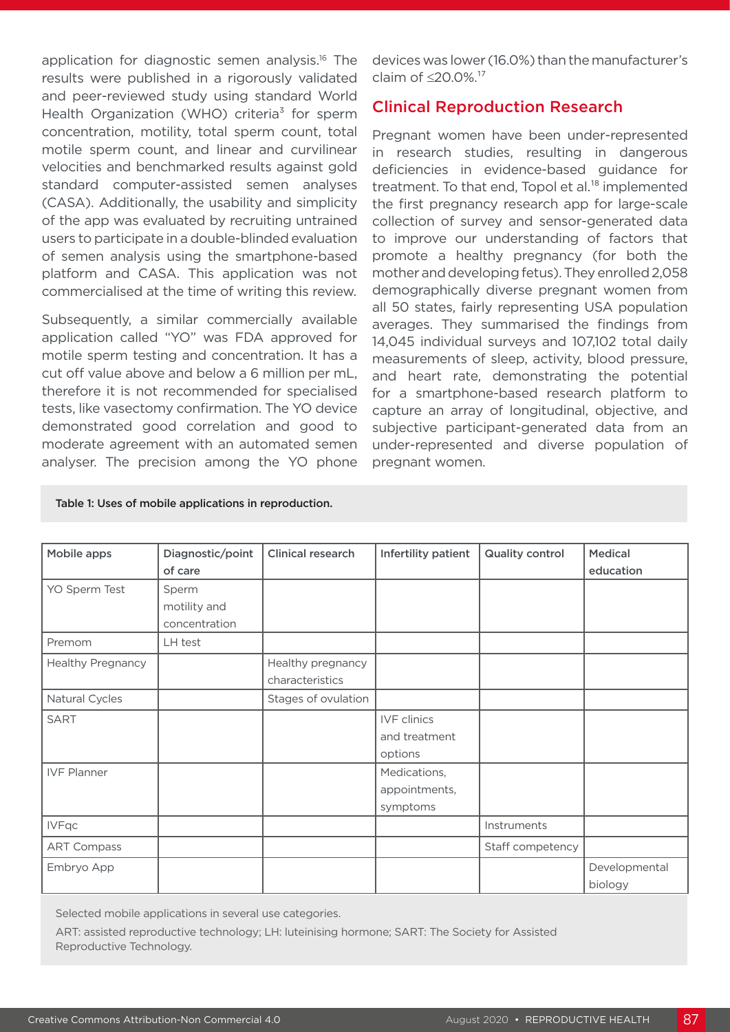application for diagnostic semen analysis.16 The results were published in a rigorously validated and peer-reviewed study using standard World Health Organization (WHO) criteria<sup>3</sup> for sperm concentration, motility, total sperm count, total motile sperm count, and linear and curvilinear velocities and benchmarked results against gold standard computer-assisted semen analyses (CASA). Additionally, the usability and simplicity of the app was evaluated by recruiting untrained users to participate in a double-blinded evaluation of semen analysis using the smartphone-based platform and CASA. This application was not commercialised at the time of writing this review.

Subsequently, a similar commercially available application called "YO" was FDA approved for motile sperm testing and concentration. It has a cut off value above and below a 6 million per mL, therefore it is not recommended for specialised tests, like vasectomy confirmation. The YO device demonstrated good correlation and good to moderate agreement with an automated semen analyser. The precision among the YO phone devices was lower (16.0%) than the manufacturer's claim of ≤20.0%.<sup>17</sup>

#### Clinical Reproduction Research

Pregnant women have been under-represented in research studies, resulting in dangerous deficiencies in evidence-based guidance for treatment. To that end, Topol et al.<sup>18</sup> implemented the first pregnancy research app for large-scale collection of survey and sensor-generated data to improve our understanding of factors that promote a healthy pregnancy (for both the mother and developing fetus). They enrolled 2,058 demographically diverse pregnant women from all 50 states, fairly representing USA population averages. They summarised the findings from 14,045 individual surveys and 107,102 total daily measurements of sleep, activity, blood pressure, and heart rate, demonstrating the potential for a smartphone-based research platform to capture an array of longitudinal, objective, and subjective participant-generated data from an under-represented and diverse population of pregnant women.

| Mobile apps              | Diagnostic/point<br>of care            | <b>Clinical research</b>             | Infertility patient                            | <b>Quality control</b> | <b>Medical</b><br>education |
|--------------------------|----------------------------------------|--------------------------------------|------------------------------------------------|------------------------|-----------------------------|
| YO Sperm Test            | Sperm<br>motility and<br>concentration |                                      |                                                |                        |                             |
| Premom                   | LH test                                |                                      |                                                |                        |                             |
| <b>Healthy Pregnancy</b> |                                        | Healthy pregnancy<br>characteristics |                                                |                        |                             |
| Natural Cycles           |                                        | Stages of ovulation                  |                                                |                        |                             |
| <b>SART</b>              |                                        |                                      | <b>IVF</b> clinics<br>and treatment<br>options |                        |                             |
| <b>IVF Planner</b>       |                                        |                                      | Medications,<br>appointments,<br>symptoms      |                        |                             |
| <b>IVFqc</b>             |                                        |                                      |                                                | Instruments            |                             |
| <b>ART Compass</b>       |                                        |                                      |                                                | Staff competency       |                             |
| Embryo App               |                                        |                                      |                                                |                        | Developmental<br>biology    |

Table 1: Uses of mobile applications in reproduction.

Selected mobile applications in several use categories.

ART: assisted reproductive technology; LH: luteinising hormone; SART: The Society for Assisted Reproductive Technology.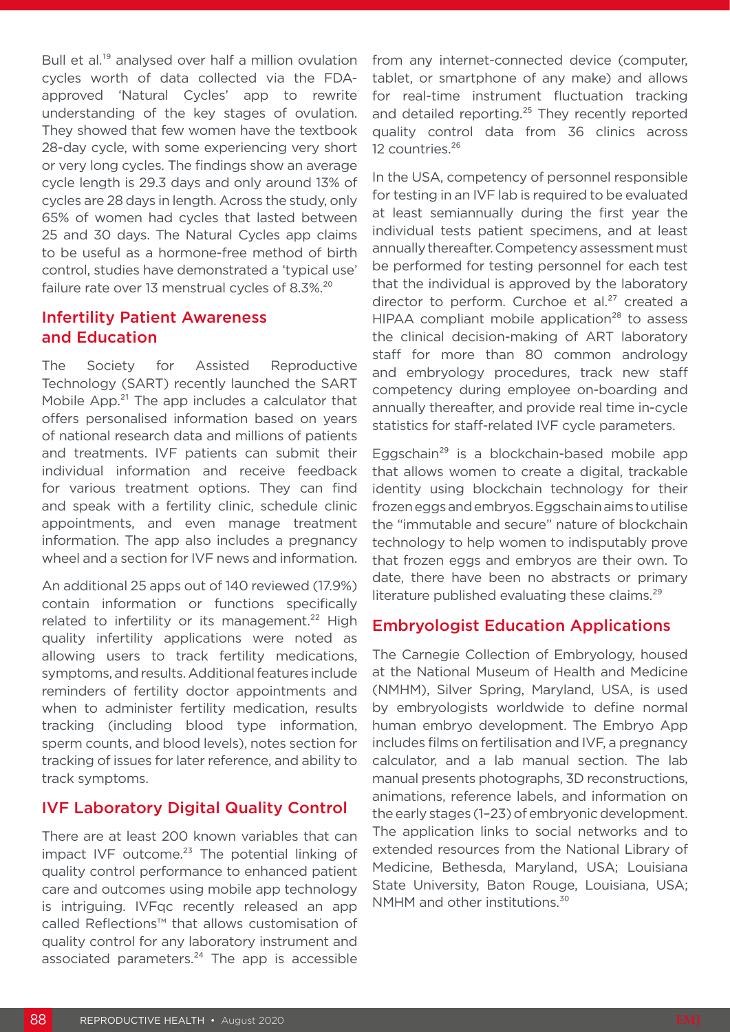Bull et al.<sup>19</sup> analysed over half a million ovulation cycles worth of data collected via the FDAapproved 'Natural Cycles' app to rewrite understanding of the key stages of ovulation. They showed that few women have the textbook 28-day cycle, with some experiencing very short or very long cycles. The findings show an average cycle length is 29.3 days and only around 13% of cycles are 28 days in length. Across the study, only 65% of women had cycles that lasted between 25 and 30 days. The Natural Cycles app claims to be useful as a hormone-free method of birth control, studies have demonstrated a 'typical use' failure rate over 13 menstrual cycles of 8.3%.<sup>20</sup>

## Infertility Patient Awareness and Education

The Society for Assisted Reproductive Technology (SART) recently launched the SART Mobile App.<sup>21</sup> The app includes a calculator that offers personalised information based on years of national research data and millions of patients and treatments. IVF patients can submit their individual information and receive feedback for various treatment options. They can find and speak with a fertility clinic, schedule clinic appointments, and even manage treatment information. The app also includes a pregnancy wheel and a section for IVF news and information.

An additional 25 apps out of 140 reviewed (17.9%) contain information or functions specifically related to infertility or its management.<sup>22</sup> High quality infertility applications were noted as allowing users to track fertility medications, symptoms, and results. Additional features include reminders of fertility doctor appointments and when to administer fertility medication, results tracking (including blood type information, sperm counts, and blood levels), notes section for tracking of issues for later reference, and ability to track symptoms.

# IVF Laboratory Digital Quality Control

There are at least 200 known variables that can impact IVF outcome.<sup>23</sup> The potential linking of quality control performance to enhanced patient care and outcomes using mobile app technology is intriguing. IVFqc recently released an app called Reflections™ that allows customisation of quality control for any laboratory instrument and associated parameters.<sup>24</sup> The app is accessible

from any internet-connected device (computer, tablet, or smartphone of any make) and allows for real-time instrument fluctuation tracking and detailed reporting.<sup>25</sup> They recently reported quality control data from 36 clinics across 12 countries.<sup>26</sup>

In the USA, competency of personnel responsible for testing in an IVF lab is required to be evaluated at least semiannually during the first year the individual tests patient specimens, and at least annually thereafter. Competency assessment must be performed for testing personnel for each test that the individual is approved by the laboratory director to perform. Curchoe et al.<sup>27</sup> created a HIPAA compliant mobile application<sup>28</sup> to assess the clinical decision-making of ART laboratory staff for more than 80 common andrology and embryology procedures, track new staff competency during employee on-boarding and annually thereafter, and provide real time in-cycle statistics for staff-related IVF cycle parameters.

Eggschain<sup>29</sup> is a blockchain-based mobile app that allows women to create a digital, trackable identity using blockchain technology for their frozen eggs and embryos. Eggschain aims to utilise the "immutable and secure" nature of blockchain technology to help women to indisputably prove that frozen eggs and embryos are their own. To date, there have been no abstracts or primary literature published evaluating these claims.<sup>29</sup>

### Embryologist Education Applications

The Carnegie Collection of Embryology, housed at the National Museum of Health and Medicine (NMHM), Silver Spring, Maryland, USA, is used by embryologists worldwide to define normal human embryo development. The Embryo App includes films on fertilisation and IVF, a pregnancy calculator, and a lab manual section. The lab manual presents photographs, 3D reconstructions, animations, reference labels, and information on the early stages (1–23) of embryonic development. The application links to social networks and to extended resources from the National Library of Medicine, Bethesda, Maryland, USA; Louisiana State University, Baton Rouge, Louisiana, USA; NMHM and other institutions.<sup>30</sup>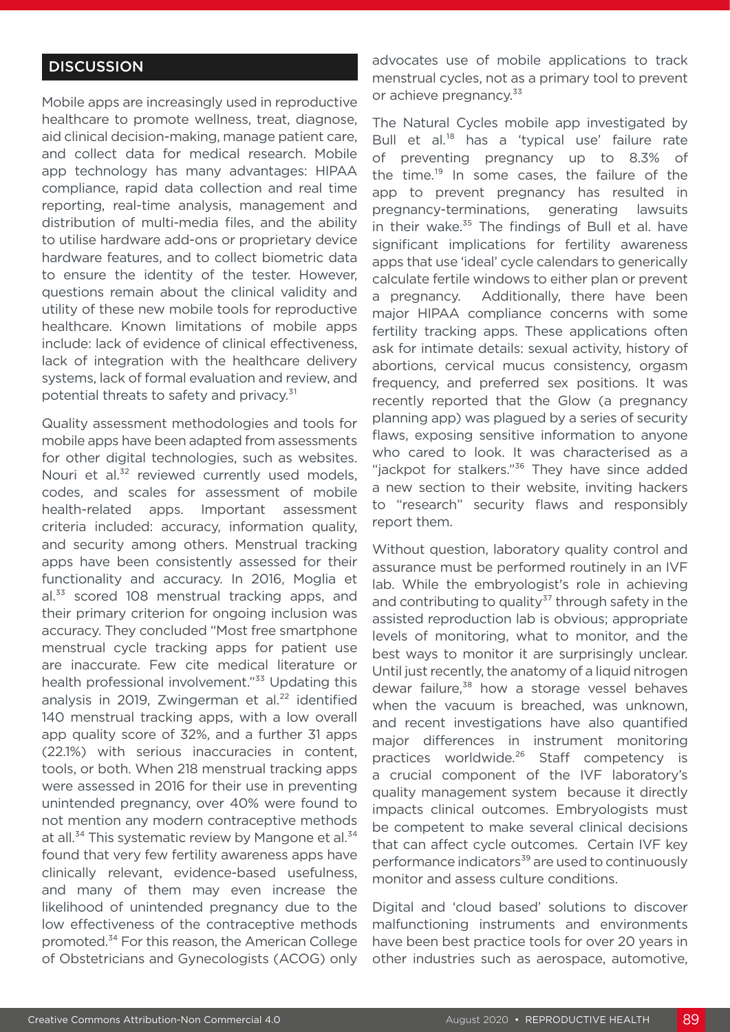#### **DISCUSSION**

Mobile apps are increasingly used in reproductive healthcare to promote wellness, treat, diagnose, aid clinical decision-making, manage patient care, and collect data for medical research. Mobile app technology has many advantages: HIPAA compliance, rapid data collection and real time reporting, real-time analysis, management and distribution of multi-media files, and the ability to utilise hardware add-ons or proprietary device hardware features, and to collect biometric data to ensure the identity of the tester. However, questions remain about the clinical validity and utility of these new mobile tools for reproductive healthcare. Known limitations of mobile apps include: lack of evidence of clinical effectiveness, lack of integration with the healthcare delivery systems, lack of formal evaluation and review, and potential threats to safety and privacy.<sup>31</sup>

Quality assessment methodologies and tools for mobile apps have been adapted from assessments for other digital technologies, such as websites. Nouri et al.<sup>32</sup> reviewed currently used models, codes, and scales for assessment of mobile health-related apps. Important assessment criteria included: accuracy, information quality, and security among others. Menstrual tracking apps have been consistently assessed for their functionality and accuracy. In 2016, Moglia et al.<sup>33</sup> scored 108 menstrual tracking apps, and their primary criterion for ongoing inclusion was accuracy. They concluded "Most free smartphone menstrual cycle tracking apps for patient use are inaccurate. Few cite medical literature or health professional involvement."<sup>33</sup> Updating this analysis in 2019, Zwingerman et al.<sup>22</sup> identified 140 menstrual tracking apps, with a low overall app quality score of 32%, and a further 31 apps (22.1%) with serious inaccuracies in content, tools, or both. When 218 menstrual tracking apps were assessed in 2016 for their use in preventing unintended pregnancy, over 40% were found to not mention any modern contraceptive methods at all.<sup>34</sup> This systematic review by Mangone et al.<sup>34</sup> found that very few fertility awareness apps have clinically relevant, evidence-based usefulness, and many of them may even increase the likelihood of unintended pregnancy due to the low effectiveness of the contraceptive methods promoted.<sup>34</sup> For this reason, the American College of Obstetricians and Gynecologists (ACOG) only advocates use of mobile applications to track menstrual cycles, not as a primary tool to prevent or achieve pregnancy.<sup>33</sup>

The Natural Cycles mobile app investigated by Bull et al.<sup>18</sup> has a 'typical use' failure rate of preventing pregnancy up to 8.3% of the time.<sup>19</sup> In some cases, the failure of the app to prevent pregnancy has resulted in pregnancy-terminations, generating lawsuits in their wake.<sup>35</sup> The findings of Bull et al. have significant implications for fertility awareness apps that use 'ideal' cycle calendars to generically calculate fertile windows to either plan or prevent a pregnancy. Additionally, there have been major HIPAA compliance concerns with some fertility tracking apps. These applications often ask for intimate details: sexual activity, history of abortions, cervical mucus consistency, orgasm frequency, and preferred sex positions. It was recently reported that the Glow (a pregnancy planning app) was plagued by a series of security flaws, exposing sensitive information to anyone who cared to look. It was characterised as a "jackpot for stalkers."<sup>36</sup> They have since added a new section to their website, inviting hackers to "research" security flaws and responsibly report them.

Without question, laboratory quality control and assurance must be performed routinely in an IVF lab. While the embryologist's role in achieving and contributing to quality $37$  through safety in the assisted reproduction lab is obvious; appropriate levels of monitoring, what to monitor, and the best ways to monitor it are surprisingly unclear. Until just recently, the anatomy of a liquid nitrogen dewar failure,<sup>38</sup> how a storage vessel behaves when the vacuum is breached, was unknown, and recent investigations have also quantified major differences in instrument monitoring practices worldwide.<sup>26</sup> Staff competency is a crucial component of the IVF laboratory's quality management system because it directly impacts clinical outcomes. Embryologists must be competent to make several clinical decisions that can affect cycle outcomes. Certain IVF key performance indicators<sup>39</sup> are used to continuously monitor and assess culture conditions.

Digital and 'cloud based' solutions to discover malfunctioning instruments and environments have been best practice tools for over 20 years in other industries such as aerospace, automotive,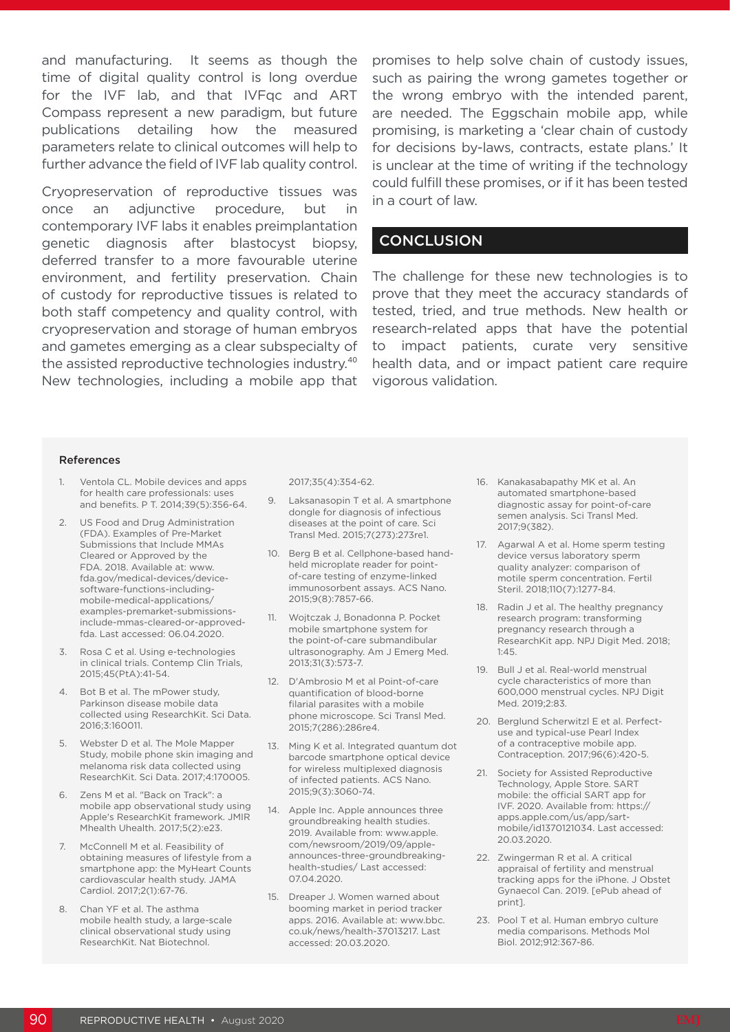and manufacturing. It seems as though the time of digital quality control is long overdue for the IVF lab, and that IVFqc and ART Compass represent a new paradigm, but future publications detailing how the measured parameters relate to clinical outcomes will help to further advance the field of IVF lab quality control.

Cryopreservation of reproductive tissues was once an adjunctive procedure, but in contemporary IVF labs it enables preimplantation genetic diagnosis after blastocyst biopsy, deferred transfer to a more favourable uterine environment, and fertility preservation. Chain of custody for reproductive tissues is related to both staff competency and quality control, with cryopreservation and storage of human embryos and gametes emerging as a clear subspecialty of the assisted reproductive technologies industry.<sup>40</sup> New technologies, including a mobile app that promises to help solve chain of custody issues, such as pairing the wrong gametes together or the wrong embryo with the intended parent, are needed. The Eggschain mobile app, while promising, is marketing a 'clear chain of custody for decisions by-laws, contracts, estate plans.' It is unclear at the time of writing if the technology could fulfill these promises, or if it has been tested in a court of law.

#### **CONCLUSION**

The challenge for these new technologies is to prove that they meet the accuracy standards of tested, tried, and true methods. New health or research-related apps that have the potential to impact patients, curate very sensitive health data, and or impact patient care require vigorous validation.

#### References

- 1. Ventola CL. Mobile devices and apps for health care professionals: uses and benefits. P T. 2014;39(5):356-64.
- 2. US Food and Drug Administration (FDA). Examples of Pre-Market Submissions that Include MMAs Cleared or Approved by the FDA. 2018. Available at: www. fda.gov/medical-devices/devicesoftware-functions-includingmobile-medical-applications/ examples-premarket-submissionsinclude-mmas-cleared-or-approvedfda. Last accessed: 06.04.2020.
- 3. Rosa C et al. Using e-technologies in clinical trials. Contemp Clin Trials, 2015;45(PtA):41-54.
- 4. Bot B et al. The mPower study, Parkinson disease mobile data collected using ResearchKit. Sci Data. 2016;3:160011.
- 5. Webster D et al. The Mole Mapper Study, mobile phone skin imaging and melanoma risk data collected using ResearchKit. Sci Data. 2017;4:170005.
- 6. Zens M et al. "Back on Track": a mobile app observational study using Apple's ResearchKit framework. JMIR Mhealth Uhealth. 2017;5(2):e23.
- 7. McConnell M et al. Feasibility of obtaining measures of lifestyle from a smartphone app: the MyHeart Counts cardiovascular health study. JAMA Cardiol. 2017;2(1):67-76.
- 8. Chan YF et al. The asthma mobile health study, a large-scale clinical observational study using ResearchKit. Nat Biotechnol.

2017;35(4):354-62.

- 9. Laksanasopin T et al. A smartphone dongle for diagnosis of infectious diseases at the point of care. Sci Transl Med. 2015;7(273):273re1.
- 10. Berg B et al. Cellphone-based handheld microplate reader for pointof-care testing of enzyme-linked immunosorbent assays. ACS Nano. 2015;9(8):7857-66.
- 11. Wojtczak J, Bonadonna P. Pocket mobile smartphone system for the point-of-care submandibular ultrasonography. Am J Emerg Med. 2013;31(3):573-7.
- 12. D'Ambrosio M et al Point-of-care quantification of blood-borne filarial parasites with a mobile phone microscope. Sci Transl Med. 2015;7(286):286re4.
- 13. Ming K et al. Integrated quantum dot barcode smartphone optical device for wireless multiplexed diagnosis of infected patients. ACS Nano. 2015;9(3):3060-74.
- 14. Apple Inc. Apple announces three groundbreaking health studies. 2019. Available from: www.apple. com/newsroom/2019/09/appleannounces-three-groundbreakinghealth-studies/ Last accessed: 07.04.2020.
- 15. Dreaper J. Women warned about booming market in period tracker apps. 2016. Available at: www.bbc. co.uk/news/health-37013217. Last accessed: 20.03.2020.
- 16. Kanakasabapathy MK et al. An automated smartphone-based diagnostic assay for point-of-care semen analysis. Sci Transl Med. 2017;9(382).
- 17. Agarwal A et al. Home sperm testing device versus laboratory sperm quality analyzer: comparison of motile sperm concentration. Fertil Steril. 2018:110(7):1277-84
- 18. Radin J et al. The healthy pregnancy research program: transforming pregnancy research through a ResearchKit app. NPJ Digit Med. 2018; 1:45.
- 19. Bull J et al. Real-world menstrual cycle characteristics of more than 600,000 menstrual cycles. NPJ Digit Med. 2019;2:83.
- 20. Berglund Scherwitzl E et al. Perfectuse and typical-use Pearl Index of a contraceptive mobile app. Contraception. 2017;96(6):420-5.
- 21. Society for Assisted Reproductive Technology, Apple Store. SART mobile: the official SART app for IVF. 2020. Available from: https:// apps.apple.com/us/app/sartmobile/id1370121034. Last accessed: 20.03.2020.
- 22. Zwingerman R et al. A critical appraisal of fertility and menstrual tracking apps for the iPhone. J Obstet Gynaecol Can. 2019. [ePub ahead of print].
- 23. Pool T et al. Human embryo culture media comparisons. Methods Mol Biol. 2012;912:367-86.